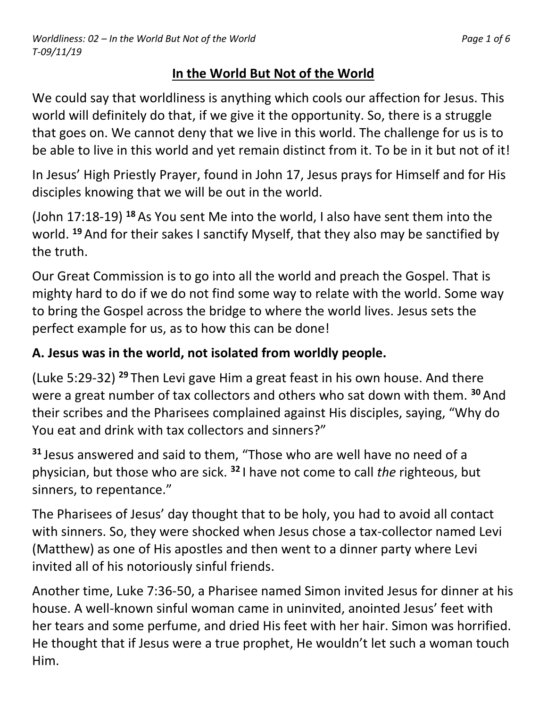# **In the World But Not of the World**

We could say that worldliness is anything which cools our affection for Jesus. This world will definitely do that, if we give it the opportunity. So, there is a struggle that goes on. We cannot deny that we live in this world. The challenge for us is to be able to live in this world and yet remain distinct from it. To be in it but not of it!

In Jesus' High Priestly Prayer, found in John 17, Jesus prays for Himself and for His disciples knowing that we will be out in the world.

(John 17:18-19) **<sup>18</sup>** As You sent Me into the world, I also have sent them into the world. **<sup>19</sup>** And for their sakes I sanctify Myself, that they also may be sanctified by the truth.

Our Great Commission is to go into all the world and preach the Gospel. That is mighty hard to do if we do not find some way to relate with the world. Some way to bring the Gospel across the bridge to where the world lives. Jesus sets the perfect example for us, as to how this can be done!

# **A. Jesus was in the world, not isolated from worldly people.**

(Luke 5:29-32) **<sup>29</sup>** Then Levi gave Him a great feast in his own house. And there were a great number of tax collectors and others who sat down with them. **<sup>30</sup>** And their scribes and the Pharisees complained against His disciples, saying, "Why do You eat and drink with tax collectors and sinners?"

**<sup>31</sup>** Jesus answered and said to them, "Those who are well have no need of a physician, but those who are sick. **<sup>32</sup>** I have not come to call *the* righteous, but sinners, to repentance."

The Pharisees of Jesus' day thought that to be holy, you had to avoid all contact with sinners. So, they were shocked when Jesus chose a tax-collector named Levi (Matthew) as one of His apostles and then went to a dinner party where Levi invited all of his notoriously sinful friends.

Another time, Luke 7:36-50, a Pharisee named Simon invited Jesus for dinner at his house. A well-known sinful woman came in uninvited, anointed Jesus' feet with her tears and some perfume, and dried His feet with her hair. Simon was horrified. He thought that if Jesus were a true prophet, He wouldn't let such a woman touch Him.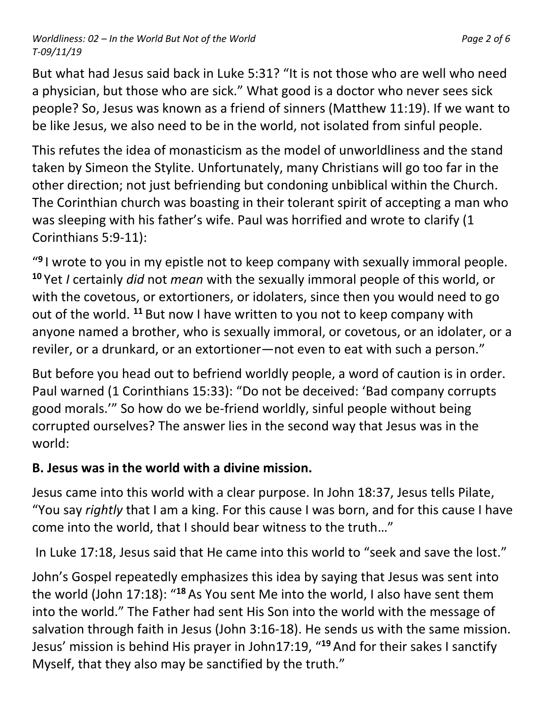#### *Worldliness: 02 – In the World But Not of the World Page 2 of 6 T-09/11/19*

But what had Jesus said back in Luke 5:31? "It is not those who are well who need a physician, but those who are sick." What good is a doctor who never sees sick people? So, Jesus was known as a friend of sinners (Matthew 11:19). If we want to be like Jesus, we also need to be in the world, not isolated from sinful people.

This refutes the idea of monasticism as the model of unworldliness and the stand taken by Simeon the Stylite. Unfortunately, many Christians will go too far in the other direction; not just befriending but condoning unbiblical within the Church. The Corinthian church was boasting in their tolerant spirit of accepting a man who was sleeping with his father's wife. Paul was horrified and wrote to clarify (1 Corinthians 5:9-11):

" **9** I wrote to you in my epistle not to keep company with sexually immoral people. **<sup>10</sup>** Yet *I* certainly *did* not *mean* with the sexually immoral people of this world, or with the covetous, or extortioners, or idolaters, since then you would need to go out of the world. **<sup>11</sup>** But now I have written to you not to keep company with anyone named a brother, who is sexually immoral, or covetous, or an idolater, or a reviler, or a drunkard, or an extortioner—not even to eat with such a person."

But before you head out to befriend worldly people, a word of caution is in order. Paul warned (1 Corinthians 15:33): "Do not be deceived: 'Bad company corrupts good morals.'" So how do we be-friend worldly, sinful people without being corrupted ourselves? The answer lies in the second way that Jesus was in the world:

#### **B. Jesus was in the world with a divine mission.**

Jesus came into this world with a clear purpose. In John 18:37, Jesus tells Pilate, "You say *rightly* that I am a king. For this cause I was born, and for this cause I have come into the world, that I should bear witness to the truth…"

In Luke 17:18, Jesus said that He came into this world to "seek and save the lost."

John's Gospel repeatedly emphasizes this idea by saying that Jesus was sent into the world (John 17:18): "**<sup>18</sup>** As You sent Me into the world, I also have sent them into the world." The Father had sent His Son into the world with the message of salvation through faith in Jesus (John 3:16-18). He sends us with the same mission. Jesus' mission is behind His prayer in John17:19, "**<sup>19</sup>** And for their sakes I sanctify Myself, that they also may be sanctified by the truth."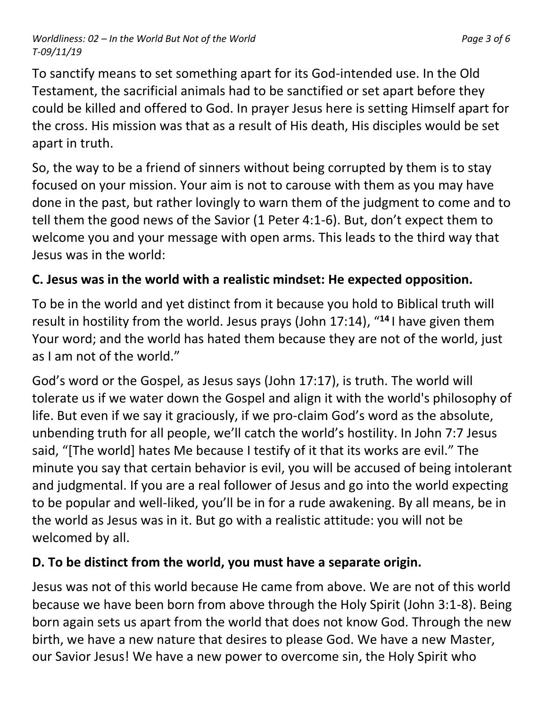*Worldliness: 02 – In the World But Not of the World Page 3 of 6 T-09/11/19*

To sanctify means to set something apart for its God-intended use. In the Old Testament, the sacrificial animals had to be sanctified or set apart before they could be killed and offered to God. In prayer Jesus here is setting Himself apart for the cross. His mission was that as a result of His death, His disciples would be set apart in truth.

So, the way to be a friend of sinners without being corrupted by them is to stay focused on your mission. Your aim is not to carouse with them as you may have done in the past, but rather lovingly to warn them of the judgment to come and to tell them the good news of the Savior (1 Peter 4:1-6). But, don't expect them to welcome you and your message with open arms. This leads to the third way that Jesus was in the world:

### **C. Jesus was in the world with a realistic mindset: He expected opposition.**

To be in the world and yet distinct from it because you hold to Biblical truth will result in hostility from the world. Jesus prays (John 17:14), "**<sup>14</sup>** I have given them Your word; and the world has hated them because they are not of the world, just as I am not of the world."

God's word or the Gospel, as Jesus says (John 17:17), is truth. The world will tolerate us if we water down the Gospel and align it with the world's philosophy of life. But even if we say it graciously, if we pro-claim God's word as the absolute, unbending truth for all people, we'll catch the world's hostility. In John 7:7 Jesus said, "[The world] hates Me because I testify of it that its works are evil." The minute you say that certain behavior is evil, you will be accused of being intolerant and judgmental. If you are a real follower of Jesus and go into the world expecting to be popular and well-liked, you'll be in for a rude awakening. By all means, be in the world as Jesus was in it. But go with a realistic attitude: you will not be welcomed by all.

# **D. To be distinct from the world, you must have a separate origin.**

Jesus was not of this world because He came from above. We are not of this world because we have been born from above through the Holy Spirit (John 3:1-8). Being born again sets us apart from the world that does not know God. Through the new birth, we have a new nature that desires to please God. We have a new Master, our Savior Jesus! We have a new power to overcome sin, the Holy Spirit who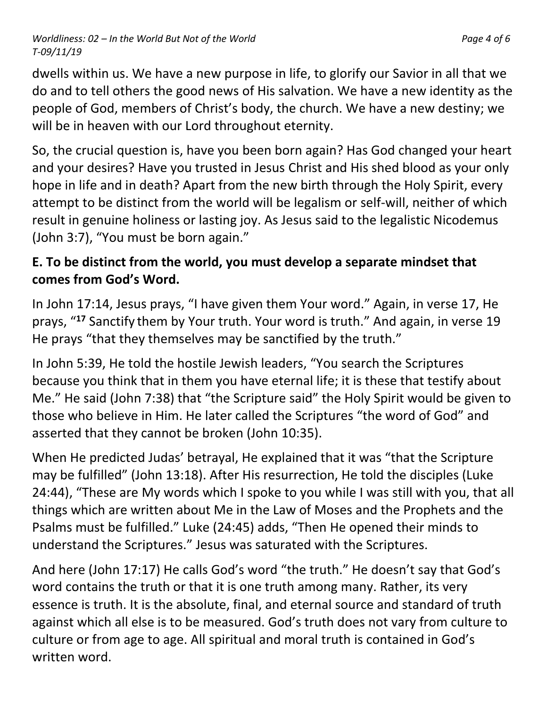*Worldliness: 02 – In the World But Not of the World Page 4 of 6 T-09/11/19*

dwells within us. We have a new purpose in life, to glorify our Savior in all that we do and to tell others the good news of His salvation. We have a new identity as the people of God, members of Christ's body, the church. We have a new destiny; we will be in heaven with our Lord throughout eternity.

So, the crucial question is, have you been born again? Has God changed your heart and your desires? Have you trusted in Jesus Christ and His shed blood as your only hope in life and in death? Apart from the new birth through the Holy Spirit, every attempt to be distinct from the world will be legalism or self-will, neither of which result in genuine holiness or lasting joy. As Jesus said to the legalistic Nicodemus (John 3:7), "You must be born again."

### **E. To be distinct from the world, you must develop a separate mindset that comes from God's Word.**

In John 17:14, Jesus prays, "I have given them Your word." Again, in verse 17, He prays, "**<sup>17</sup>** Sanctify them by Your truth. Your word is truth." And again, in verse 19 He prays "that they themselves may be sanctified by the truth."

In John 5:39, He told the hostile Jewish leaders, "You search the Scriptures because you think that in them you have eternal life; it is these that testify about Me." He said (John 7:38) that "the Scripture said" the Holy Spirit would be given to those who believe in Him. He later called the Scriptures "the word of God" and asserted that they cannot be broken (John 10:35).

When He predicted Judas' betrayal, He explained that it was "that the Scripture may be fulfilled" (John 13:18). After His resurrection, He told the disciples (Luke 24:44), "These are My words which I spoke to you while I was still with you, that all things which are written about Me in the Law of Moses and the Prophets and the Psalms must be fulfilled." Luke (24:45) adds, "Then He opened their minds to understand the Scriptures." Jesus was saturated with the Scriptures.

And here (John 17:17) He calls God's word "the truth." He doesn't say that God's word contains the truth or that it is one truth among many. Rather, its very essence is truth. It is the absolute, final, and eternal source and standard of truth against which all else is to be measured. God's truth does not vary from culture to culture or from age to age. All spiritual and moral truth is contained in God's written word.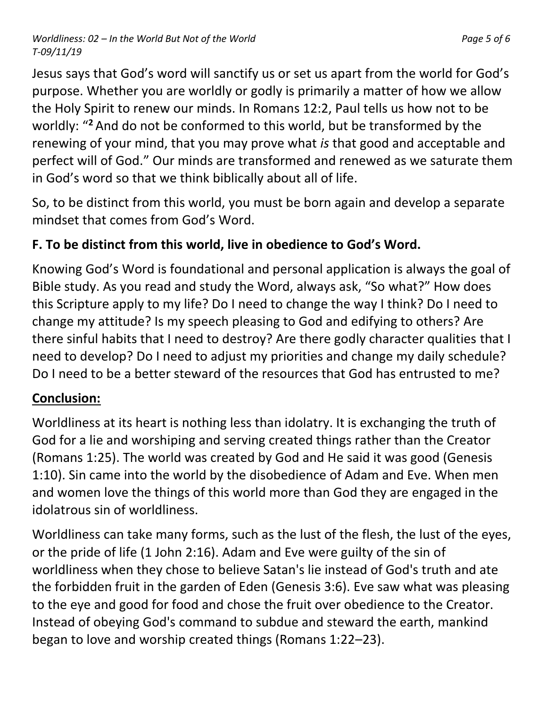*Worldliness: 02 – In the World But Not of the World Page 5 of 6 T-09/11/19*

Jesus says that God's word will sanctify us or set us apart from the world for God's purpose. Whether you are worldly or godly is primarily a matter of how we allow the Holy Spirit to renew our minds. In Romans 12:2, Paul tells us how not to be worldly: "**<sup>2</sup>** And do not be conformed to this world, but be transformed by the renewing of your mind, that you may prove what *is* that good and acceptable and perfect will of God." Our minds are transformed and renewed as we saturate them

So, to be distinct from this world, you must be born again and develop a separate mindset that comes from God's Word.

# **F. To be distinct from this world, live in obedience to God's Word.**

in God's word so that we think biblically about all of life.

Knowing God's Word is foundational and personal application is always the goal of Bible study. As you read and study the Word, always ask, "So what?" How does this Scripture apply to my life? Do I need to change the way I think? Do I need to change my attitude? Is my speech pleasing to God and edifying to others? Are there sinful habits that I need to destroy? Are there godly character qualities that I need to develop? Do I need to adjust my priorities and change my daily schedule? Do I need to be a better steward of the resources that God has entrusted to me?

# **Conclusion:**

Worldliness at its heart is nothing less than idolatry. It is exchanging the truth of God for a lie and worshiping and serving created things rather than the Creator (Romans 1:25). The world was created by God and He said it was good (Genesis 1:10). Sin came into the world by the disobedience of Adam and Eve. When men and women love the things of this world more than God they are engaged in the idolatrous sin of worldliness.

Worldliness can take many forms, such as the lust of the flesh, the lust of the eyes, or the pride of life (1 John 2:16). Adam and Eve were guilty of the sin of worldliness when they chose to believe Satan's lie instead of God's truth and ate the forbidden fruit in the garden of Eden (Genesis 3:6). Eve saw what was pleasing to the eye and good for food and chose the fruit over obedience to the Creator. Instead of obeying God's command to subdue and steward the earth, mankind began to love and worship created things (Romans 1:22–23).